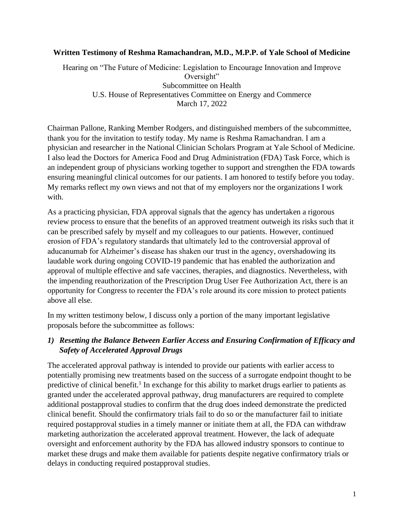#### **Written Testimony of Reshma Ramachandran, M.D., M.P.P. of Yale School of Medicine**

Hearing on "The Future of Medicine: Legislation to Encourage Innovation and Improve Oversight" Subcommittee on Health U.S. House of Representatives Committee on Energy and Commerce March 17, 2022

Chairman Pallone, Ranking Member Rodgers, and distinguished members of the subcommittee, thank you for the invitation to testify today. My name is Reshma Ramachandran. I am a physician and researcher in the National Clinician Scholars Program at Yale School of Medicine. I also lead the Doctors for America Food and Drug Administration (FDA) Task Force, which is an independent group of physicians working together to support and strengthen the FDA towards ensuring meaningful clinical outcomes for our patients. I am honored to testify before you today. My remarks reflect my own views and not that of my employers nor the organizations I work with.

As a practicing physician, FDA approval signals that the agency has undertaken a rigorous review process to ensure that the benefits of an approved treatment outweigh its risks such that it can be prescribed safely by myself and my colleagues to our patients. However, continued erosion of FDA's regulatory standards that ultimately led to the controversial approval of aducanumab for Alzheimer's disease has shaken our trust in the agency, overshadowing its laudable work during ongoing COVID-19 pandemic that has enabled the authorization and approval of multiple effective and safe vaccines, therapies, and diagnostics. Nevertheless, with the impending reauthorization of the Prescription Drug User Fee Authorization Act, there is an opportunity for Congress to recenter the FDA's role around its core mission to protect patients above all else.

In my written testimony below, I discuss only a portion of the many important legislative proposals before the subcommittee as follows:

### *1) Resetting the Balance Between Earlier Access and Ensuring Confirmation of Efficacy and Safety of Accelerated Approval Drugs*

The accelerated approval pathway is intended to provide our patients with earlier access to potentially promising new treatments based on the success of a surrogate endpoint thought to be predictive of clinical benefit.<sup>1</sup> In exchange for this ability to market drugs earlier to patients as granted under the accelerated approval pathway, drug manufacturers are required to complete additional postapproval studies to confirm that the drug does indeed demonstrate the predicted clinical benefit. Should the confirmatory trials fail to do so or the manufacturer fail to initiate required postapproval studies in a timely manner or initiate them at all, the FDA can withdraw marketing authorization the accelerated approval treatment. However, the lack of adequate oversight and enforcement authority by the FDA has allowed industry sponsors to continue to market these drugs and make them available for patients despite negative confirmatory trials or delays in conducting required postapproval studies.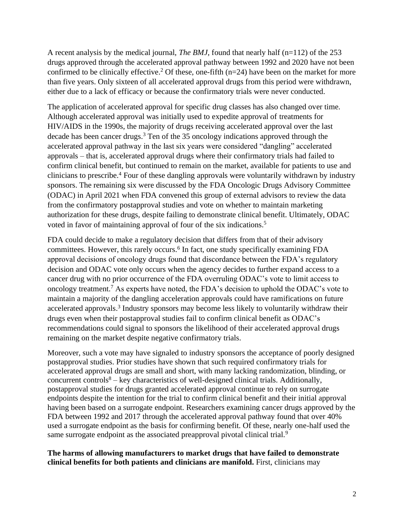A recent analysis by the medical journal, *The BMJ*, found that nearly half (n=112) of the 253 drugs approved through the accelerated approval pathway between 1992 and 2020 have not been confirmed to be clinically effective.<sup>2</sup> Of these, one-fifth  $(n=24)$  have been on the market for more than five years. Only sixteen of all accelerated approval drugs from this period were withdrawn, either due to a lack of efficacy or because the confirmatory trials were never conducted.

The application of accelerated approval for specific drug classes has also changed over time. Although accelerated approval was initially used to expedite approval of treatments for HIV/AIDS in the 1990s, the majority of drugs receiving accelerated approval over the last decade has been cancer drugs.<sup>3</sup> Ten of the 35 oncology indications approved through the accelerated approval pathway in the last six years were considered "dangling" accelerated approvals – that is, accelerated approval drugs where their confirmatory trials had failed to confirm clinical benefit, but continued to remain on the market, available for patients to use and clinicians to prescribe.<sup>4</sup> Four of these dangling approvals were voluntarily withdrawn by industry sponsors. The remaining six were discussed by the FDA Oncologic Drugs Advisory Committee (ODAC) in April 2021 when FDA convened this group of external advisors to review the data from the confirmatory postapproval studies and vote on whether to maintain marketing authorization for these drugs, despite failing to demonstrate clinical benefit. Ultimately, ODAC voted in favor of maintaining approval of four of the six indications.<sup>5</sup>

FDA could decide to make a regulatory decision that differs from that of their advisory committees. However, this rarely occurs.<sup>6</sup> In fact, one study specifically examining FDA approval decisions of oncology drugs found that discordance between the FDA's regulatory decision and ODAC vote only occurs when the agency decides to further expand access to a cancer drug with no prior occurrence of the FDA overruling ODAC's vote to limit access to oncology treatment.<sup>7</sup> As experts have noted, the FDA's decision to uphold the ODAC's vote to maintain a majority of the dangling acceleration approvals could have ramifications on future accelerated approvals.<sup>3</sup> Industry sponsors may become less likely to voluntarily withdraw their drugs even when their postapproval studies fail to confirm clinical benefit as ODAC's recommendations could signal to sponsors the likelihood of their accelerated approval drugs remaining on the market despite negative confirmatory trials.

Moreover, such a vote may have signaled to industry sponsors the acceptance of poorly designed postapproval studies. Prior studies have shown that such required confirmatory trials for accelerated approval drugs are small and short, with many lacking randomization, blinding, or concurrent controls $8 - \text{key}$  characteristics of well-designed clinical trials. Additionally, postapproval studies for drugs granted accelerated approval continue to rely on surrogate endpoints despite the intention for the trial to confirm clinical benefit and their initial approval having been based on a surrogate endpoint. Researchers examining cancer drugs approved by the FDA between 1992 and 2017 through the accelerated approval pathway found that over 40% used a surrogate endpoint as the basis for confirming benefit. Of these, nearly one-half used the same surrogate endpoint as the associated preapproval pivotal clinical trial.<sup>9</sup>

**The harms of allowing manufacturers to market drugs that have failed to demonstrate clinical benefits for both patients and clinicians are manifold.** First, clinicians may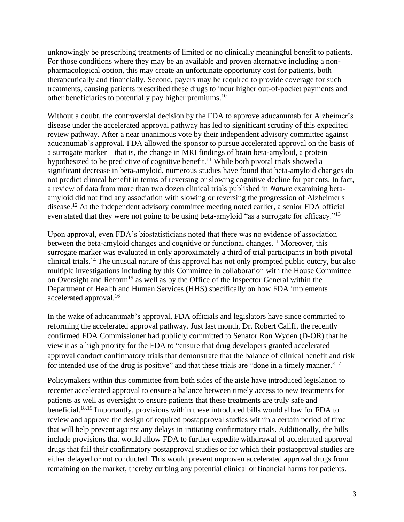unknowingly be prescribing treatments of limited or no clinically meaningful benefit to patients. For those conditions where they may be an available and proven alternative including a nonpharmacological option, this may create an unfortunate opportunity cost for patients, both therapeutically and financially. Second, payers may be required to provide coverage for such treatments, causing patients prescribed these drugs to incur higher out-of-pocket payments and other beneficiaries to potentially pay higher premiums.<sup>10</sup>

Without a doubt, the controversial decision by the FDA to approve aducanumab for Alzheimer's disease under the accelerated approval pathway has led to significant scrutiny of this expedited review pathway. After a near unanimous vote by their independent advisory committee against aducanumab's approval, FDA allowed the sponsor to pursue accelerated approval on the basis of a surrogate marker – that is, the change in MRI findings of brain beta-amyloid, a protein hypothesized to be predictive of cognitive benefit.<sup>11</sup> While both pivotal trials showed a significant decrease in beta-amyloid, numerous studies have found that beta-amyloid changes do not predict clinical benefit in terms of reversing or slowing cognitive decline for patients. In fact, a review of data from more than two dozen clinical trials published in *Nature* examining betaamyloid did not find any association with slowing or reversing the progression of Alzheimer's disease.<sup>12</sup> At the independent advisory committee meeting noted earlier, a senior FDA official even stated that they were not going to be using beta-amyloid "as a surrogate for efficacy."<sup>13</sup>

Upon approval, even FDA's biostatisticians noted that there was no evidence of association between the beta-amyloid changes and cognitive or functional changes.<sup>11</sup> Moreover, this surrogate marker was evaluated in only approximately a third of trial participants in both pivotal clinical trials.<sup>14</sup> The unusual nature of this approval has not only prompted public outcry, but also multiple investigations including by this Committee in collaboration with the House Committee on Oversight and Reform<sup>15</sup> as well as by the Office of the Inspector General within the Department of Health and Human Services (HHS) specifically on how FDA implements accelerated approval.<sup>16</sup>

In the wake of aducanumab's approval, FDA officials and legislators have since committed to reforming the accelerated approval pathway. Just last month, Dr. Robert Califf, the recently confirmed FDA Commissioner had publicly committed to Senator Ron Wyden (D-OR) that he view it as a high priority for the FDA to "ensure that drug developers granted accelerated approval conduct confirmatory trials that demonstrate that the balance of clinical benefit and risk for intended use of the drug is positive" and that these trials are "done in a timely manner."<sup>17</sup>

Policymakers within this committee from both sides of the aisle have introduced legislation to recenter accelerated approval to ensure a balance between timely access to new treatments for patients as well as oversight to ensure patients that these treatments are truly safe and beneficial. 18,19 Importantly, provisions within these introduced bills would allow for FDA to review and approve the design of required postapproval studies within a certain period of time that will help prevent against any delays in initiating confirmatory trials. Additionally, the bills include provisions that would allow FDA to further expedite withdrawal of accelerated approval drugs that fail their confirmatory postapproval studies or for which their postapproval studies are either delayed or not conducted. This would prevent unproven accelerated approval drugs from remaining on the market, thereby curbing any potential clinical or financial harms for patients.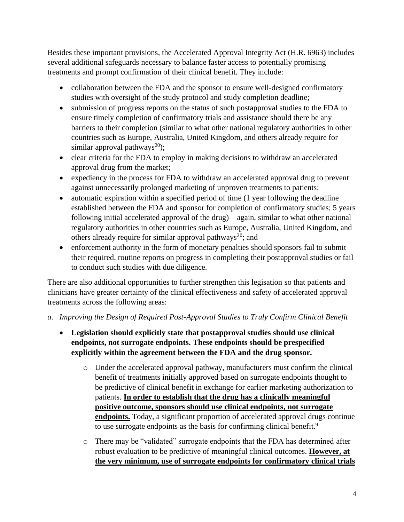Besides these important provisions, the Accelerated Approval Integrity Act (H.R. 6963) includes several additional safeguards necessary to balance faster access to potentially promising treatments and prompt confirmation of their clinical benefit. They include:

- collaboration between the FDA and the sponsor to ensure well-designed confirmatory studies with oversight of the study protocol and study completion deadline;
- submission of progress reports on the status of such postapproval studies to the FDA to ensure timely completion of confirmatory trials and assistance should there be any barriers to their completion (similar to what other national regulatory authorities in other countries such as Europe, Australia, United Kingdom, and others already require for similar approval pathways<sup>20</sup>);
- clear criteria for the FDA to employ in making decisions to withdraw an accelerated approval drug from the market;
- expediency in the process for FDA to withdraw an accelerated approval drug to prevent against unnecessarily prolonged marketing of unproven treatments to patients;
- automatic expiration within a specified period of time (1 year following the deadline established between the FDA and sponsor for completion of confirmatory studies; 5 years following initial accelerated approval of the drug) – again, similar to what other national regulatory authorities in other countries such as Europe, Australia, United Kingdom, and others already require for similar approval pathways<sup>20</sup>; and
- enforcement authority in the form of monetary penalties should sponsors fail to submit their required, routine reports on progress in completing their postapproval studies or fail to conduct such studies with due diligence.

There are also additional opportunities to further strengthen this legisation so that patients and clinicians have greater certainty of the clinical effectiveness and safety of accelerated approval treatments across the following areas:

- *a. Improving the Design of Required Post-Approval Studies to Truly Confirm Clinical Benefit*
	- **Legislation should explicitly state that postapproval studies should use clinical endpoints, not surrogate endpoints. These endpoints should be prespecified explicitly within the agreement between the FDA and the drug sponsor.** 
		- o Under the accelerated approval pathway, manufacturers must confirm the clinical benefit of treatments initially approved based on surrogate endpoints thought to be predictive of clinical benefit in exchange for earlier marketing authorization to patients. **In order to establish that the drug has a clinically meaningful positive outcome, sponsors should use clinical endpoints, not surrogate endpoints.** Today, a significant proportion of accelerated approval drugs continue to use surrogate endpoints as the basis for confirming clinical benefit.<sup>9</sup>
		- o There may be "validated" surrogate endpoints that the FDA has determined after robust evaluation to be predictive of meaningful clinical outcomes. **However, at the very minimum, use of surrogate endpoints for confirmatory clinical trials**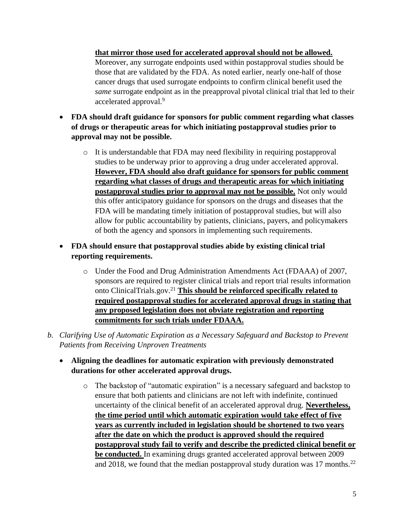**that mirror those used for accelerated approval should not be allowed.** Moreover, any surrogate endpoints used within postapproval studies should be those that are validated by the FDA. As noted earlier, nearly one-half of those cancer drugs that used surrogate endpoints to confirm clinical benefit used the *same* surrogate endpoint as in the preapproval pivotal clinical trial that led to their accelerated approval.<sup>9</sup>

- **FDA should draft guidance for sponsors for public comment regarding what classes of drugs or therapeutic areas for which initiating postapproval studies prior to approval may not be possible.** 
	- o It is understandable that FDA may need flexibility in requiring postapproval studies to be underway prior to approving a drug under accelerated approval. **However, FDA should also draft guidance for sponsors for public comment regarding what classes of drugs and therapeutic areas for which initiating postapproval studies prior to approval may not be possible.** Not only would this offer anticipatory guidance for sponsors on the drugs and diseases that the FDA will be mandating timely initiation of postapproval studies, but will also allow for public accountability by patients, clinicians, payers, and policymakers of both the agency and sponsors in implementing such requirements.
- **FDA should ensure that postapproval studies abide by existing clinical trial reporting requirements.**
	- o Under the Food and Drug Administration Amendments Act (FDAAA) of 2007, sponsors are required to register clinical trials and report trial results information onto ClinicalTrials.gov.<sup>21</sup> **This should be reinforced specifically related to required postapproval studies for accelerated approval drugs in stating that any proposed legislation does not obviate registration and reporting commitments for such trials under FDAAA.**
- *b. Clarifying Use of Automatic Expiration as a Necessary Safeguard and Backstop to Prevent Patients from Receiving Unproven Treatments*
	- **Aligning the deadlines for automatic expiration with previously demonstrated durations for other accelerated approval drugs.**
		- o The backstop of "automatic expiration" is a necessary safeguard and backstop to ensure that both patients and clinicians are not left with indefinite, continued uncertainty of the clinical benefit of an accelerated approval drug. **Nevertheless, the time period until which automatic expiration would take effect of five years as currently included in legislation should be shortened to two years after the date on which the product is approved should the required postapproval study fail to verify and describe the predicted clinical benefit or be conducted.** In examining drugs granted accelerated approval between 2009 and 2018, we found that the median postapproval study duration was 17 months.<sup>22</sup>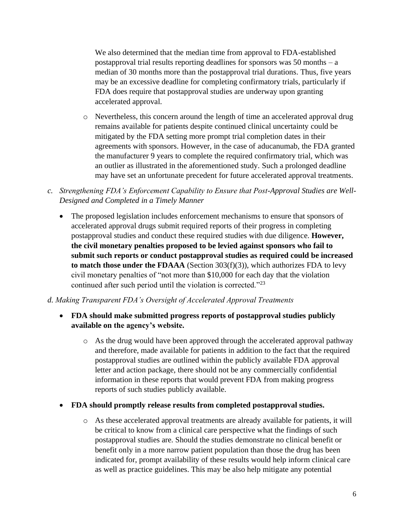We also determined that the median time from approval to FDA-established postapproval trial results reporting deadlines for sponsors was 50 months – a median of 30 months more than the postapproval trial durations. Thus, five years may be an excessive deadline for completing confirmatory trials, particularly if FDA does require that postapproval studies are underway upon granting accelerated approval.

- o Nevertheless, this concern around the length of time an accelerated approval drug remains available for patients despite continued clinical uncertainty could be mitigated by the FDA setting more prompt trial completion dates in their agreements with sponsors. However, in the case of aducanumab, the FDA granted the manufacturer 9 years to complete the required confirmatory trial, which was an outlier as illustrated in the aforementioned study. Such a prolonged deadline may have set an unfortunate precedent for future accelerated approval treatments.
- *c. Strengthening FDA's Enforcement Capability to Ensure that Post-Approval Studies are Well-Designed and Completed in a Timely Manner*
	- The proposed legislation includes enforcement mechanisms to ensure that sponsors of accelerated approval drugs submit required reports of their progress in completing postapproval studies and conduct these required studies with due diligence. **However, the civil monetary penalties proposed to be levied against sponsors who fail to submit such reports or conduct postapproval studies as required could be increased to match those under the FDAAA** (Section 303(f)(3)), which authorizes FDA to levy civil monetary penalties of "not more than \$10,000 for each day that the violation continued after such period until the violation is corrected."<sup>23</sup>

#### *d. Making Transparent FDA's Oversight of Accelerated Approval Treatments*

- **FDA should make submitted progress reports of postapproval studies publicly available on the agency's website.**
	- o As the drug would have been approved through the accelerated approval pathway and therefore, made available for patients in addition to the fact that the required postapproval studies are outlined within the publicly available FDA approval letter and action package, there should not be any commercially confidential information in these reports that would prevent FDA from making progress reports of such studies publicly available.
- **FDA should promptly release results from completed postapproval studies.**
	- o As these accelerated approval treatments are already available for patients, it will be critical to know from a clinical care perspective what the findings of such postapproval studies are. Should the studies demonstrate no clinical benefit or benefit only in a more narrow patient population than those the drug has been indicated for, prompt availability of these results would help inform clinical care as well as practice guidelines. This may be also help mitigate any potential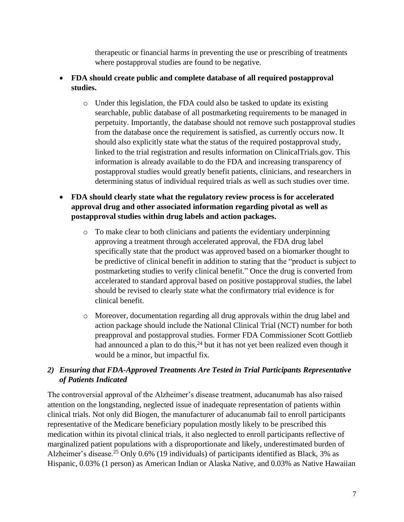therapeutic or financial harms in preventing the use or prescribing of treatments where postapproval studies are found to be negative.

- **FDA should create public and complete database of all required postapproval studies.** 
	- o Under this legislation, the FDA could also be tasked to update its existing searchable, public database of all postmarketing requirements to be managed in perpetuity. Importantly, the database should not remove such postapproval studies from the database once the requirement is satisfied, as currently occurs now. It should also explicitly state what the status of the required postapproval study, linked to the trial registration and results information on ClinicalTrials.gov. This information is already available to do the FDA and increasing transparency of postapproval studies would greatly benefit patients, clinicians, and researchers in determining status of individual required trials as well as such studies over time.
- **FDA should clearly state what the regulatory review process is for accelerated approval drug and other associated information regarding pivotal as well as postapproval studies within drug labels and action packages.**
	- o To make clear to both clinicians and patients the evidentiary underpinning approving a treatment through accelerated approval, the FDA drug label specifically state that the product was approved based on a biomarker thought to be predictive of clinical benefit in addition to stating that the "product is subject to postmarketing studies to verify clinical benefit." Once the drug is converted from accelerated to standard approval based on positive postapproval studies, the label should be revised to clearly state what the confirmatory trial evidence is for clinical benefit.
	- o Moreover, documentation regarding all drug approvals within the drug label and action package should include the National Clinical Trial (NCT) number for both preapproval and postapproval studies. Former FDA Commissioner Scott Gottlieb had announced a plan to do this,  $24$  but it has not yet been realized even though it would be a minor, but impactful fix.

# *2) Ensuring that FDA-Approved Treatments Are Tested in Trial Participants Representative of Patients Indicated*

The controversial approval of the Alzheimer's disease treatment, aducanumab has also raised attention on the longstanding, neglected issue of inadequate representation of patients within clinical trials. Not only did Biogen, the manufacturer of aducanumab fail to enroll participants representative of the Medicare beneficiary population mostly likely to be prescribed this medication within its pivotal clinical trials, it also neglected to enroll participants reflective of marginalized patient populations with a disproportionate and likely, underestimated burden of Alzheimer's disease.<sup>25</sup> Only 0.6% (19 individuals) of participants identified as Black, 3% as Hispanic, 0.03% (1 person) as American Indian or Alaska Native, and 0.03% as Native Hawaiian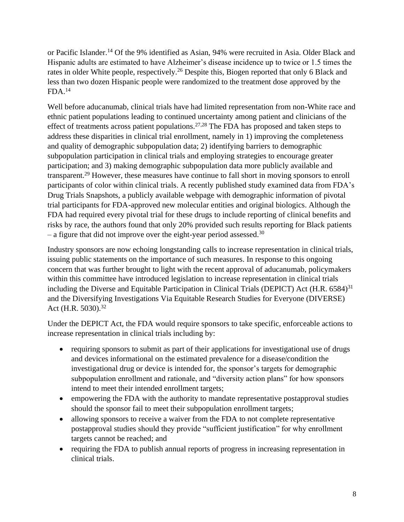or Pacific Islander.<sup>14</sup> Of the 9% identified as Asian, 94% were recruited in Asia. Older Black and Hispanic adults are estimated to have Alzheimer's disease incidence up to twice or 1.5 times the rates in older White people, respectively.<sup>26</sup> Despite this, Biogen reported that only 6 Black and less than two dozen Hispanic people were randomized to the treatment dose approved by the  $FDA.<sup>14</sup>$ 

Well before aducanumab, clinical trials have had limited representation from non-White race and ethnic patient populations leading to continued uncertainty among patient and clinicians of the effect of treatments across patient populations.<sup>27,28</sup> The FDA has proposed and taken steps to address these disparities in clinical trial enrollment, namely in 1) improving the completeness and quality of demographic subpopulation data; 2) identifying barriers to demographic subpopulation participation in clinical trials and employing strategies to encourage greater participation; and 3) making demographic subpopulation data more publicly available and transparent.<sup>29</sup> However, these measures have continue to fall short in moving sponsors to enroll participants of color within clinical trials. A recently published study examined data from FDA's Drug Trials Snapshots, a publicly available webpage with demographic information of pivotal trial participants for FDA-approved new molecular entities and original biologics. Although the FDA had required every pivotal trial for these drugs to include reporting of clinical benefits and risks by race, the authors found that only 20% provided such results reporting for Black patients – a figure that did not improve over the eight-year period assessed.<sup>30</sup>

Industry sponsors are now echoing longstanding calls to increase representation in clinical trials, issuing public statements on the importance of such measures. In response to this ongoing concern that was further brought to light with the recent approval of aducanumab, policymakers within this committee have introduced legislation to increase representation in clinical trials including the Diverse and Equitable Participation in Clinical Trials (DEPICT) Act (H.R. 6584)<sup>31</sup> and the Diversifying Investigations Via Equitable Research Studies for Everyone (DIVERSE) Act (H.R. 5030).<sup>32</sup>

Under the DEPICT Act, the FDA would require sponsors to take specific, enforceable actions to increase representation in clinical trials including by:

- requiring sponsors to submit as part of their applications for investigational use of drugs and devices informational on the estimated prevalence for a disease/condition the investigational drug or device is intended for, the sponsor's targets for demographic subpopulation enrollment and rationale, and "diversity action plans" for how sponsors intend to meet their intended enrollment targets;
- empowering the FDA with the authority to mandate representative postapproval studies should the sponsor fail to meet their subpopulation enrollment targets;
- allowing sponsors to receive a waiver from the FDA to not complete representative postapproval studies should they provide "sufficient justification" for why enrollment targets cannot be reached; and
- requiring the FDA to publish annual reports of progress in increasing representation in clinical trials.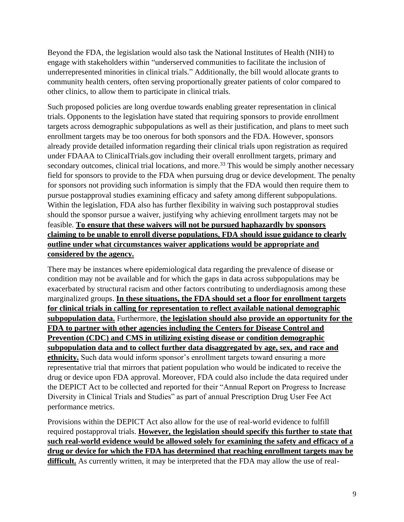Beyond the FDA, the legislation would also task the National Institutes of Health (NIH) to engage with stakeholders within "underserved communities to facilitate the inclusion of underrepresented minorities in clinical trials." Additionally, the bill would allocate grants to community health centers, often serving proportionally greater patients of color compared to other clinics, to allow them to participate in clinical trials.

Such proposed policies are long overdue towards enabling greater representation in clinical trials. Opponents to the legislation have stated that requiring sponsors to provide enrollment targets across demographic subpopulations as well as their justification, and plans to meet such enrollment targets may be too onerous for both sponsors and the FDA. However, sponsors already provide detailed information regarding their clinical trials upon registration as required under FDAAA to ClinicalTrials.gov including their overall enrollment targets, primary and secondary outcomes, clinical trial locations, and more.<sup>33</sup> This would be simply another necessary field for sponsors to provide to the FDA when pursuing drug or device development. The penalty for sponsors not providing such information is simply that the FDA would then require them to pursue postapproval studies examining efficacy and safety among different subpopulations. Within the legislation, FDA also has further flexibility in waiving such postapproval studies should the sponsor pursue a waiver, justifying why achieving enrollment targets may not be feasible. **To ensure that these waivers will not be pursued haphazardly by sponsors claiming to be unable to enroll diverse populations, FDA should issue guidance to clearly outline under what circumstances waiver applications would be appropriate and considered by the agency.**

There may be instances where epidemiological data regarding the prevalence of disease or condition may not be available and for which the gaps in data across subpopulations may be exacerbated by structural racism and other factors contributing to underdiagnosis among these marginalized groups. **In these situations, the FDA should set a floor for enrollment targets for clinical trials in calling for representation to reflect available national demographic subpopulation data.** Furthermore, **the legislation should also provide an opportunity for the FDA to partner with other agencies including the Centers for Disease Control and Prevention (CDC) and CMS in utilizing existing disease or condition demographic subpopulation data and to collect further data disaggregated by age, sex, and race and ethnicity.** Such data would inform sponsor's enrollment targets toward ensuring a more representative trial that mirrors that patient population who would be indicated to receive the drug or device upon FDA approval. Moreover, FDA could also include the data required under the DEPICT Act to be collected and reported for their "Annual Report on Progress to Increase Diversity in Clinical Trials and Studies" as part of annual Prescription Drug User Fee Act performance metrics.

Provisions within the DEPICT Act also allow for the use of real-world evidence to fulfill required postapproval trials. **However, the legislation should specify this further to state that such real-world evidence would be allowed solely for examining the safety and efficacy of a drug or device for which the FDA has determined that reaching enrollment targets may be**  difficult. As currently written, it may be interpreted that the FDA may allow the use of real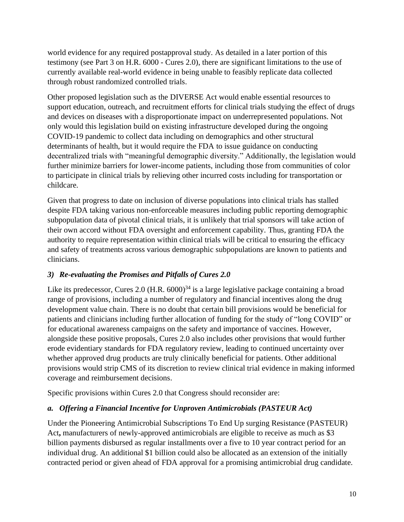world evidence for any required postapproval study. As detailed in a later portion of this testimony (see Part 3 on H.R. 6000 - Cures 2.0), there are significant limitations to the use of currently available real-world evidence in being unable to feasibly replicate data collected through robust randomized controlled trials.

Other proposed legislation such as the DIVERSE Act would enable essential resources to support education, outreach, and recruitment efforts for clinical trials studying the effect of drugs and devices on diseases with a disproportionate impact on underrepresented populations. Not only would this legislation build on existing infrastructure developed during the ongoing COVID-19 pandemic to collect data including on demographics and other structural determinants of health, but it would require the FDA to issue guidance on conducting decentralized trials with "meaningful demographic diversity." Additionally, the legislation would further minimize barriers for lower-income patients, including those from communities of color to participate in clinical trials by relieving other incurred costs including for transportation or childcare.

Given that progress to date on inclusion of diverse populations into clinical trials has stalled despite FDA taking various non-enforceable measures including public reporting demographic subpopulation data of pivotal clinical trials, it is unlikely that trial sponsors will take action of their own accord without FDA oversight and enforcement capability. Thus, granting FDA the authority to require representation within clinical trials will be critical to ensuring the efficacy and safety of treatments across various demographic subpopulations are known to patients and clinicians.

## *3) Re-evaluating the Promises and Pitfalls of Cures 2.0*

Like its predecessor, Cures 2.0 (H.R.  $6000$ )<sup>34</sup> is a large legislative package containing a broad range of provisions, including a number of regulatory and financial incentives along the drug development value chain. There is no doubt that certain bill provisions would be beneficial for patients and clinicians including further allocation of funding for the study of "long COVID" or for educational awareness campaigns on the safety and importance of vaccines. However, alongside these positive proposals, Cures 2.0 also includes other provisions that would further erode evidentiary standards for FDA regulatory review, leading to continued uncertainty over whether approved drug products are truly clinically beneficial for patients. Other additional provisions would strip CMS of its discretion to review clinical trial evidence in making informed coverage and reimbursement decisions.

Specific provisions within Cures 2.0 that Congress should reconsider are:

# *a. Offering a Financial Incentive for Unproven Antimicrobials (PASTEUR Act)*

Under the Pioneering Antimicrobial Subscriptions To End Up surging Resistance (PASTEUR) Act, manufacturers of newly-approved antimicrobials are eligible to receive as much as \$3 billion payments disbursed as regular installments over a five to 10 year contract period for an individual drug. An additional \$1 billion could also be allocated as an extension of the initially contracted period or given ahead of FDA approval for a promising antimicrobial drug candidate.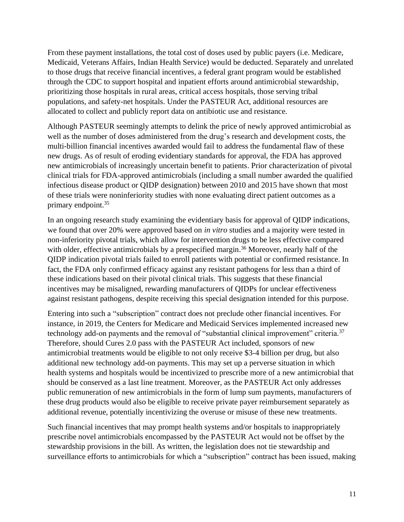From these payment installations, the total cost of doses used by public payers (i.e. Medicare, Medicaid, Veterans Affairs, Indian Health Service) would be deducted. Separately and unrelated to those drugs that receive financial incentives, a federal grant program would be established through the CDC to support hospital and inpatient efforts around antimicrobial stewardship, prioritizing those hospitals in rural areas, critical access hospitals, those serving tribal populations, and safety-net hospitals. Under the PASTEUR Act, additional resources are allocated to collect and publicly report data on antibiotic use and resistance.

Although PASTEUR seemingly attempts to delink the price of newly approved antimicrobial as well as the number of doses administered from the drug's research and development costs, the multi-billion financial incentives awarded would fail to address the fundamental flaw of these new drugs. As of result of eroding evidentiary standards for approval, the FDA has approved new antimicrobials of increasingly uncertain benefit to patients. Prior characterization of pivotal clinical trials for FDA-approved antimicrobials (including a small number awarded the qualified infectious disease product or QIDP designation) between 2010 and 2015 have shown that most of these trials were noninferiority studies with none evaluating direct patient outcomes as a primary endpoint. 35

In an ongoing research study examining the evidentiary basis for approval of QIDP indications, we found that over 20% were approved based on *in vitro* studies and a majority were tested in non-inferiority pivotal trials, which allow for intervention drugs to be less effective compared with older, effective antimicrobials by a prespecified margin.<sup>36</sup> Moreover, nearly half of the QIDP indication pivotal trials failed to enroll patients with potential or confirmed resistance. In fact, the FDA only confirmed efficacy against any resistant pathogens for less than a third of these indications based on their pivotal clinical trials. This suggests that these financial incentives may be misaligned, rewarding manufacturers of QIDPs for unclear effectiveness against resistant pathogens, despite receiving this special designation intended for this purpose.

Entering into such a "subscription" contract does not preclude other financial incentives. For instance, in 2019, the Centers for Medicare and Medicaid Services implemented increased new technology add-on payments and the removal of "substantial clinical improvement" criteria.<sup>37</sup> Therefore, should Cures 2.0 pass with the PASTEUR Act included, sponsors of new antimicrobial treatments would be eligible to not only receive \$3-4 billion per drug, but also additional new technology add-on payments. This may set up a perverse situation in which health systems and hospitals would be incentivized to prescribe more of a new antimicrobial that should be conserved as a last line treatment. Moreover, as the PASTEUR Act only addresses public remuneration of new antimicrobials in the form of lump sum payments, manufacturers of these drug products would also be eligible to receive private payer reimbursement separately as additional revenue, potentially incentivizing the overuse or misuse of these new treatments.

Such financial incentives that may prompt health systems and/or hospitals to inappropriately prescribe novel antimicrobials encompassed by the PASTEUR Act would not be offset by the stewardship provisions in the bill. As written, the legislation does not tie stewardship and surveillance efforts to antimicrobials for which a "subscription" contract has been issued, making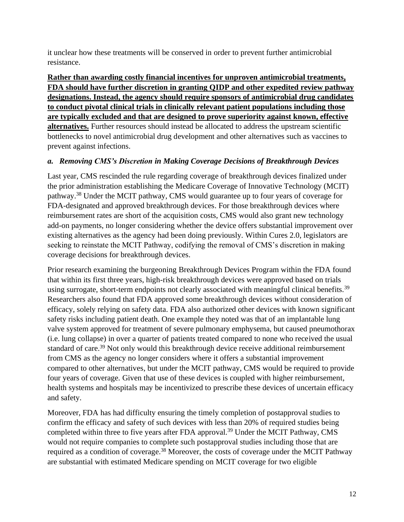it unclear how these treatments will be conserved in order to prevent further antimicrobial resistance.

**Rather than awarding costly financial incentives for unproven antimicrobial treatments, FDA should have further discretion in granting QIDP and other expedited review pathway designations. Instead, the agency should require sponsors of antimicrobial drug candidates to conduct pivotal clinical trials in clinically relevant patient populations including those are typically excluded and that are designed to prove superiority against known, effective alternatives.** Further resources should instead be allocated to address the upstream scientific bottlenecks to novel antimicrobial drug development and other alternatives such as vaccines to prevent against infections.

## *a. Removing CMS's Discretion in Making Coverage Decisions of Breakthrough Devices*

Last year, CMS rescinded the rule regarding coverage of breakthrough devices finalized under the prior administration establishing the Medicare Coverage of Innovative Technology (MCIT) pathway.<sup>38</sup> Under the MCIT pathway, CMS would guarantee up to four years of coverage for FDA-designated and approved breakthrough devices. For those breakthrough devices where reimbursement rates are short of the acquisition costs, CMS would also grant new technology add-on payments, no longer considering whether the device offers substantial improvement over existing alternatives as the agency had been doing previously. Within Cures 2.0, legislators are seeking to reinstate the MCIT Pathway, codifying the removal of CMS's discretion in making coverage decisions for breakthrough devices.

Prior research examining the burgeoning Breakthrough Devices Program within the FDA found that within its first three years, high-risk breakthrough devices were approved based on trials using surrogate, short-term endpoints not clearly associated with meaningful clinical benefits.<sup>39</sup> Researchers also found that FDA approved some breakthrough devices without consideration of efficacy, solely relying on safety data. FDA also authorized other devices with known significant safety risks including patient death. One example they noted was that of an implantable lung valve system approved for treatment of severe pulmonary emphysema, but caused pneumothorax (i.e. lung collapse) in over a quarter of patients treated compared to none who received the usual standard of care.<sup>39</sup> Not only would this breakthrough device receive additional reimbursement from CMS as the agency no longer considers where it offers a substantial improvement compared to other alternatives, but under the MCIT pathway, CMS would be required to provide four years of coverage. Given that use of these devices is coupled with higher reimbursement, health systems and hospitals may be incentivized to prescribe these devices of uncertain efficacy and safety.

Moreover, FDA has had difficulty ensuring the timely completion of postapproval studies to confirm the efficacy and safety of such devices with less than 20% of required studies being completed within three to five years after FDA approval.<sup>39</sup> Under the MCIT Pathway, CMS would not require companies to complete such postapproval studies including those that are required as a condition of coverage.<sup>38</sup> Moreover, the costs of coverage under the MCIT Pathway are substantial with estimated Medicare spending on MCIT coverage for two eligible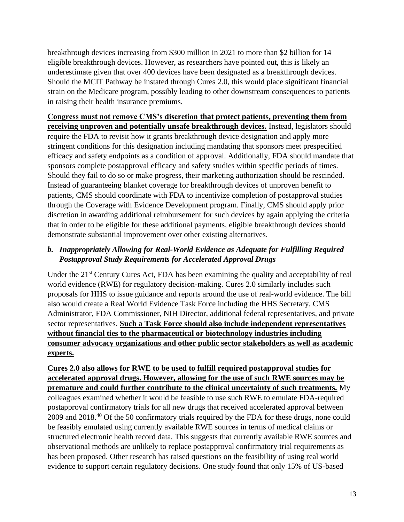breakthrough devices increasing from \$300 million in 2021 to more than \$2 billion for 14 eligible breakthrough devices. However, as researchers have pointed out, this is likely an underestimate given that over 400 devices have been designated as a breakthrough devices. Should the MCIT Pathway be instated through Cures 2.0, this would place significant financial strain on the Medicare program, possibly leading to other downstream consequences to patients in raising their health insurance premiums.

#### **Congress must not remove CMS's discretion that protect patients, preventing them from receiving unproven and potentially unsafe breakthrough devices.** Instead, legislators should

require the FDA to revisit how it grants breakthrough device designation and apply more stringent conditions for this designation including mandating that sponsors meet prespecified efficacy and safety endpoints as a condition of approval. Additionally, FDA should mandate that sponsors complete postapproval efficacy and safety studies within specific periods of times. Should they fail to do so or make progress, their marketing authorization should be rescinded. Instead of guaranteeing blanket coverage for breakthrough devices of unproven benefit to patients, CMS should coordinate with FDA to incentivize completion of postapproval studies through the Coverage with Evidence Development program. Finally, CMS should apply prior discretion in awarding additional reimbursement for such devices by again applying the criteria that in order to be eligible for these additional payments, eligible breakthrough devices should demonstrate substantial improvement over other existing alternatives.

## *b. Inappropriately Allowing for Real-World Evidence as Adequate for Fulfilling Required Postapproval Study Requirements for Accelerated Approval Drugs*

Under the  $21<sup>st</sup>$  Century Cures Act, FDA has been examining the quality and acceptability of real world evidence (RWE) for regulatory decision-making. Cures 2.0 similarly includes such proposals for HHS to issue guidance and reports around the use of real-world evidence. The bill also would create a Real World Evidence Task Force including the HHS Secretary, CMS Administrator, FDA Commissioner, NIH Director, additional federal representatives, and private sector representatives. **Such a Task Force should also include independent representatives without financial ties to the pharmaceutical or biotechnology industries including consumer advocacy organizations and other public sector stakeholders as well as academic experts.**

**Cures 2.0 also allows for RWE to be used to fulfill required postapproval studies for accelerated approval drugs. However, allowing for the use of such RWE sources may be premature and could further contribute to the clinical uncertainty of such treatments.** My colleagues examined whether it would be feasible to use such RWE to emulate FDA-required postapproval confirmatory trials for all new drugs that received accelerated approval between 2009 and 2018.<sup>40</sup> Of the 50 confirmatory trials required by the FDA for these drugs, none could be feasibly emulated using currently available RWE sources in terms of medical claims or structured electronic health record data. This suggests that currently available RWE sources and observational methods are unlikely to replace postapproval confirmatory trial requirements as has been proposed. Other research has raised questions on the feasibility of using real world evidence to support certain regulatory decisions. One study found that only 15% of US-based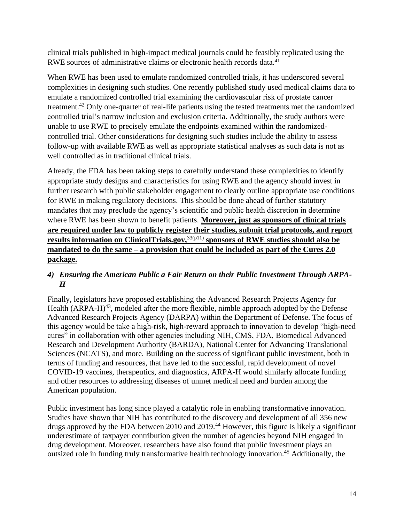clinical trials published in high-impact medical journals could be feasibly replicated using the RWE sources of administrative claims or electronic health records data.<sup>41</sup>

When RWE has been used to emulate randomized controlled trials, it has underscored several complexities in designing such studies. One recently published study used medical claims data to emulate a randomized controlled trial examining the cardiovascular risk of prostate cancer treatment.<sup>42</sup> Only one-quarter of real-life patients using the tested treatments met the randomized controlled trial's narrow inclusion and exclusion criteria. Additionally, the study authors were unable to use RWE to precisely emulate the endpoints examined within the randomizedcontrolled trial. Other considerations for designing such studies include the ability to assess follow-up with available RWE as well as appropriate statistical analyses as such data is not as well controlled as in traditional clinical trials.

Already, the FDA has been taking steps to carefully understand these complexities to identify appropriate study designs and characteristics for using RWE and the agency should invest in further research with public stakeholder engagement to clearly outline appropriate use conditions for RWE in making regulatory decisions. This should be done ahead of further statutory mandates that may preclude the agency's scientific and public health discretion in determine where RWE has been shown to benefit patients. **Moreover, just as sponsors of clinical trials are required under law to publicly register their studies, submit trial protocols, and report results information on ClinicalTrials.gov,**33(p11) **sponsors of RWE studies should also be mandated to do the same – a provision that could be included as part of the Cures 2.0 package.**

## *4) Ensuring the American Public a Fair Return on their Public Investment Through ARPA-H*

Finally, legislators have proposed establishing the Advanced Research Projects Agency for Health  $(ARPA-H)^{43}$ , modeled after the more flexible, nimble approach adopted by the Defense Advanced Research Projects Agency (DARPA) within the Department of Defense. The focus of this agency would be take a high-risk, high-reward approach to innovation to develop "high-need cures" in collaboration with other agencies including NIH, CMS, FDA, Biomedical Advanced Research and Development Authority (BARDA), National Center for Advancing Translational Sciences (NCATS), and more. Building on the success of significant public investment, both in terms of funding and resources, that have led to the successful, rapid development of novel COVID-19 vaccines, therapeutics, and diagnostics, ARPA-H would similarly allocate funding and other resources to addressing diseases of unmet medical need and burden among the American population.

Public investment has long since played a catalytic role in enabling transformative innovation. Studies have shown that NIH has contributed to the discovery and development of all 356 new drugs approved by the FDA between 2010 and 2019.<sup>44</sup> However, this figure is likely a significant underestimate of taxpayer contribution given the number of agencies beyond NIH engaged in drug development. Moreover, researchers have also found that public investment plays an outsized role in funding truly transformative health technology innovation. <sup>45</sup> Additionally, the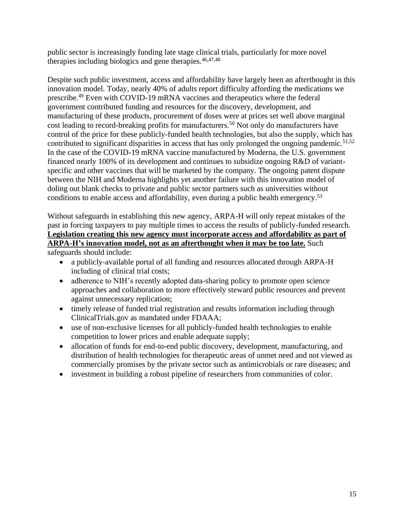public sector is increasingly funding late stage clinical trials, particularly for more novel therapies including biologics and gene therapies. $46,47,48$ 

Despite such public investment, access and affordability have largely been an afterthought in this innovation model. Today, nearly 40% of adults report difficulty affording the medications we prescribe.<sup>49</sup> Even with COVID-19 mRNA vaccines and therapeutics where the federal government contributed funding and resources for the discovery, development, and manufacturing of these products, procurement of doses were at prices set well above marginal cost leading to record-breaking profits for manufacturers.<sup>50</sup> Not only do manufacturers have control of the price for these publicly-funded health technologies, but also the supply, which has contributed to significant disparities in access that has only prolonged the ongoing pandemic.<sup>51,52</sup> In the case of the COVID-19 mRNA vaccine manufactured by Moderna, the U.S. government financed nearly 100% of its development and continues to subsidize ongoing R&D of variantspecific and other vaccines that will be marketed by the company. The ongoing patent dispute between the NIH and Moderna highlights yet another failure with this innovation model of doling out blank checks to private and public sector partners such as universities without conditions to enable access and affordability, even during a public health emergency.<sup>53</sup>

Without safeguards in establishing this new agency, ARPA-H will only repeat mistakes of the past in forcing taxpayers to pay multiple times to access the results of publicly-funded research. **Legislation creating this new agency must incorporate access and affordability as part of ARPA-H's innovation model, not as an afterthought when it may be too late.** Such

safeguards should include:

- a publicly-available portal of all funding and resources allocated through ARPA-H including of clinical trial costs;
- adherence to NIH's recently adopted data-sharing policy to promote open science approaches and collaboration to more effectively steward public resources and prevent against unnecessary replication;
- timely release of funded trial registration and results information including through ClinicalTrials.gov as mandated under FDAAA;
- use of non-exclusive licenses for all publicly-funded health technologies to enable competition to lower prices and enable adequate supply;
- allocation of funds for end-to-end public discovery, development, manufacturing, and distribution of health technologies for therapeutic areas of unmet need and not viewed as commercially promises by the private sector such as antimicrobials or rare diseases; and
- investment in building a robust pipeline of researchers from communities of color.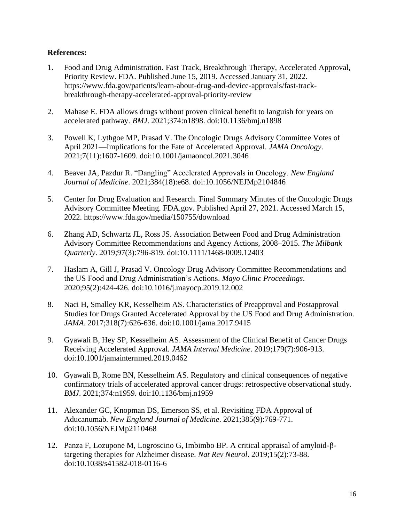#### **References:**

- 1. Food and Drug Administration. Fast Track, Breakthrough Therapy, Accelerated Approval, Priority Review. FDA. Published June 15, 2019. Accessed January 31, 2022. https://www.fda.gov/patients/learn-about-drug-and-device-approvals/fast-trackbreakthrough-therapy-accelerated-approval-priority-review
- 2. Mahase E. FDA allows drugs without proven clinical benefit to languish for years on accelerated pathway. *BMJ*. 2021;374:n1898. doi:10.1136/bmj.n1898
- 3. Powell K, Lythgoe MP, Prasad V. The Oncologic Drugs Advisory Committee Votes of April 2021—Implications for the Fate of Accelerated Approval. *JAMA Oncology*. 2021;7(11):1607-1609. doi:10.1001/jamaoncol.2021.3046
- 4. Beaver JA, Pazdur R. "Dangling" Accelerated Approvals in Oncology. *New England Journal of Medicine*. 2021;384(18):e68. doi:10.1056/NEJMp2104846
- 5. Center for Drug Evaluation and Research. Final Summary Minutes of the Oncologic Drugs Advisory Committee Meeting. FDA.gov. Published April 27, 2021. Accessed March 15, 2022. https://www.fda.gov/media/150755/download
- 6. Zhang AD, Schwartz JL, Ross JS. Association Between Food and Drug Administration Advisory Committee Recommendations and Agency Actions, 2008–2015. *The Milbank Quarterly*. 2019;97(3):796-819. doi:10.1111/1468-0009.12403
- 7. Haslam A, Gill J, Prasad V. Oncology Drug Advisory Committee Recommendations and the US Food and Drug Administration's Actions. *Mayo Clinic Proceedings*. 2020;95(2):424-426. doi:10.1016/j.mayocp.2019.12.002
- 8. Naci H, Smalley KR, Kesselheim AS. Characteristics of Preapproval and Postapproval Studies for Drugs Granted Accelerated Approval by the US Food and Drug Administration. *JAMA*. 2017;318(7):626-636. doi:10.1001/jama.2017.9415
- 9. Gyawali B, Hey SP, Kesselheim AS. Assessment of the Clinical Benefit of Cancer Drugs Receiving Accelerated Approval. *JAMA Internal Medicine*. 2019;179(7):906-913. doi:10.1001/jamainternmed.2019.0462
- 10. Gyawali B, Rome BN, Kesselheim AS. Regulatory and clinical consequences of negative confirmatory trials of accelerated approval cancer drugs: retrospective observational study. *BMJ*. 2021;374:n1959. doi:10.1136/bmj.n1959
- 11. Alexander GC, Knopman DS, Emerson SS, et al. Revisiting FDA Approval of Aducanumab. *New England Journal of Medicine*. 2021;385(9):769-771. doi:10.1056/NEJMp2110468
- 12. Panza F, Lozupone M, Logroscino G, Imbimbo BP. A critical appraisal of amyloid-βtargeting therapies for Alzheimer disease. *Nat Rev Neurol*. 2019;15(2):73-88. doi:10.1038/s41582-018-0116-6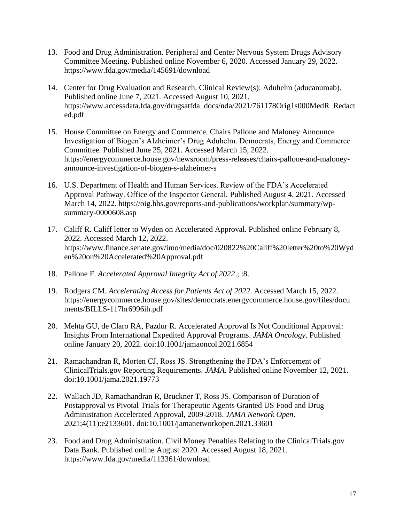- 13. Food and Drug Administration. Peripheral and Center Nervous System Drugs Advisory Committee Meeting. Published online November 6, 2020. Accessed January 29, 2022. https://www.fda.gov/media/145691/download
- 14. Center for Drug Evaluation and Research. Clinical Review(s): Aduhelm (aducanumab). Published online June 7, 2021. Accessed August 10, 2021. https://www.accessdata.fda.gov/drugsatfda\_docs/nda/2021/761178Orig1s000MedR\_Redact ed.pdf
- 15. House Committee on Energy and Commerce. Chairs Pallone and Maloney Announce Investigation of Biogen's Alzheimer's Drug Aduhelm. Democrats, Energy and Commerce Committee. Published June 25, 2021. Accessed March 15, 2022. https://energycommerce.house.gov/newsroom/press-releases/chairs-pallone-and-maloneyannounce-investigation-of-biogen-s-alzheimer-s
- 16. U.S. Department of Health and Human Services. Review of the FDA's Accelerated Approval Pathway. Office of the Inspector General. Published August 4, 2021. Accessed March 14, 2022. https://oig.hhs.gov/reports-and-publications/workplan/summary/wpsummary-0000608.asp
- 17. Califf R. Califf letter to Wyden on Accelerated Approval. Published online February 8, 2022. Accessed March 12, 2022. https://www.finance.senate.gov/imo/media/doc/020822%20Califf%20letter%20to%20Wyd en%20on%20Accelerated%20Approval.pdf
- 18. Pallone F. *Accelerated Approval Integrity Act of 2022*.; :8.
- 19. Rodgers CM. *Accelerating Access for Patients Act of 2022*. Accessed March 15, 2022. https://energycommerce.house.gov/sites/democrats.energycommerce.house.gov/files/docu ments/BILLS-117hr6996ih.pdf
- 20. Mehta GU, de Claro RA, Pazdur R. Accelerated Approval Is Not Conditional Approval: Insights From International Expedited Approval Programs. *JAMA Oncology*. Published online January 20, 2022. doi:10.1001/jamaoncol.2021.6854
- 21. Ramachandran R, Morten CJ, Ross JS. Strengthening the FDA's Enforcement of ClinicalTrials.gov Reporting Requirements. *JAMA*. Published online November 12, 2021. doi:10.1001/jama.2021.19773
- 22. Wallach JD, Ramachandran R, Bruckner T, Ross JS. Comparison of Duration of Postapproval vs Pivotal Trials for Therapeutic Agents Granted US Food and Drug Administration Accelerated Approval, 2009-2018. *JAMA Network Open*. 2021;4(11):e2133601. doi:10.1001/jamanetworkopen.2021.33601
- 23. Food and Drug Administration. Civil Money Penalties Relating to the ClinicalTrials.gov Data Bank. Published online August 2020. Accessed August 18, 2021. https://www.fda.gov/media/113361/download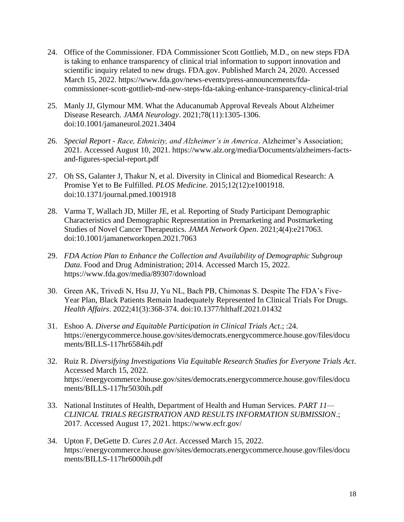- 24. Office of the Commissioner. FDA Commissioner Scott Gottlieb, M.D., on new steps FDA is taking to enhance transparency of clinical trial information to support innovation and scientific inquiry related to new drugs. FDA.gov. Published March 24, 2020. Accessed March 15, 2022. https://www.fda.gov/news-events/press-announcements/fdacommissioner-scott-gottlieb-md-new-steps-fda-taking-enhance-transparency-clinical-trial
- 25. Manly JJ, Glymour MM. What the Aducanumab Approval Reveals About Alzheimer Disease Research. *JAMA Neurology*. 2021;78(11):1305-1306. doi:10.1001/jamaneurol.2021.3404
- 26. *Special Report - Race, Ethnicity, and Alzheimer's in America*. Alzheimer's Association; 2021. Accessed August 10, 2021. https://www.alz.org/media/Documents/alzheimers-factsand-figures-special-report.pdf
- 27. Oh SS, Galanter J, Thakur N, et al. Diversity in Clinical and Biomedical Research: A Promise Yet to Be Fulfilled. *PLOS Medicine*. 2015;12(12):e1001918. doi:10.1371/journal.pmed.1001918
- 28. Varma T, Wallach JD, Miller JE, et al. Reporting of Study Participant Demographic Characteristics and Demographic Representation in Premarketing and Postmarketing Studies of Novel Cancer Therapeutics. *JAMA Network Open*. 2021;4(4):e217063. doi:10.1001/jamanetworkopen.2021.7063
- 29. *FDA Action Plan to Enhance the Collection and Availability of Demographic Subgroup Data*. Food and Drug Administration; 2014. Accessed March 15, 2022. https://www.fda.gov/media/89307/download
- 30. Green AK, Trivedi N, Hsu JJ, Yu NL, Bach PB, Chimonas S. Despite The FDA's Five-Year Plan, Black Patients Remain Inadequately Represented In Clinical Trials For Drugs. *Health Affairs*. 2022;41(3):368-374. doi:10.1377/hlthaff.2021.01432
- 31. Eshoo A. *Diverse and Equitable Participation in Clinical Trials Act*.; :24. https://energycommerce.house.gov/sites/democrats.energycommerce.house.gov/files/docu ments/BILLS-117hr6584ih.pdf
- 32. Ruiz R. *Diversifying Investigations Via Equitable Research Studies for Everyone Trials Act*. Accessed March 15, 2022. https://energycommerce.house.gov/sites/democrats.energycommerce.house.gov/files/docu ments/BILLS-117hr5030ih.pdf
- 33. National Institutes of Health, Department of Health and Human Services. *PART 11— CLINICAL TRIALS REGISTRATION AND RESULTS INFORMATION SUBMISSION*.; 2017. Accessed August 17, 2021. https://www.ecfr.gov/
- 34. Upton F, DeGette D. *Cures 2.0 Act*. Accessed March 15, 2022. https://energycommerce.house.gov/sites/democrats.energycommerce.house.gov/files/docu ments/BILLS-117hr6000ih.pdf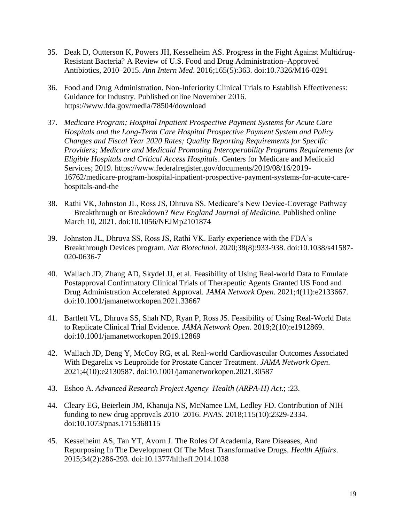- 35. Deak D, Outterson K, Powers JH, Kesselheim AS. Progress in the Fight Against Multidrug-Resistant Bacteria? A Review of U.S. Food and Drug Administration–Approved Antibiotics, 2010–2015. *Ann Intern Med*. 2016;165(5):363. doi:10.7326/M16-0291
- 36. Food and Drug Administration. Non-Inferiority Clinical Trials to Establish Effectiveness: Guidance for Industry. Published online November 2016. https://www.fda.gov/media/78504/download
- 37. *Medicare Program; Hospital Inpatient Prospective Payment Systems for Acute Care Hospitals and the Long-Term Care Hospital Prospective Payment System and Policy Changes and Fiscal Year 2020 Rates; Quality Reporting Requirements for Specific Providers; Medicare and Medicaid Promoting Interoperability Programs Requirements for Eligible Hospitals and Critical Access Hospitals*. Centers for Medicare and Medicaid Services; 2019. https://www.federalregister.gov/documents/2019/08/16/2019- 16762/medicare-program-hospital-inpatient-prospective-payment-systems-for-acute-carehospitals-and-the
- 38. Rathi VK, Johnston JL, Ross JS, Dhruva SS. Medicare's New Device-Coverage Pathway — Breakthrough or Breakdown? *New England Journal of Medicine*. Published online March 10, 2021. doi:10.1056/NEJMp2101874
- 39. Johnston JL, Dhruva SS, Ross JS, Rathi VK. Early experience with the FDA's Breakthrough Devices program. *Nat Biotechnol*. 2020;38(8):933-938. doi:10.1038/s41587- 020-0636-7
- 40. Wallach JD, Zhang AD, Skydel JJ, et al. Feasibility of Using Real-world Data to Emulate Postapproval Confirmatory Clinical Trials of Therapeutic Agents Granted US Food and Drug Administration Accelerated Approval. *JAMA Network Open*. 2021;4(11):e2133667. doi:10.1001/jamanetworkopen.2021.33667
- 41. Bartlett VL, Dhruva SS, Shah ND, Ryan P, Ross JS. Feasibility of Using Real-World Data to Replicate Clinical Trial Evidence. *JAMA Network Open*. 2019;2(10):e1912869. doi:10.1001/jamanetworkopen.2019.12869
- 42. Wallach JD, Deng Y, McCoy RG, et al. Real-world Cardiovascular Outcomes Associated With Degarelix vs Leuprolide for Prostate Cancer Treatment. *JAMA Network Open*. 2021;4(10):e2130587. doi:10.1001/jamanetworkopen.2021.30587
- 43. Eshoo A. *Advanced Research Project Agency–Health (ARPA-H) Act*.; :23.
- 44. Cleary EG, Beierlein JM, Khanuja NS, McNamee LM, Ledley FD. Contribution of NIH funding to new drug approvals 2010–2016. *PNAS*. 2018;115(10):2329-2334. doi:10.1073/pnas.1715368115
- 45. Kesselheim AS, Tan YT, Avorn J. The Roles Of Academia, Rare Diseases, And Repurposing In The Development Of The Most Transformative Drugs. *Health Affairs*. 2015;34(2):286-293. doi:10.1377/hlthaff.2014.1038